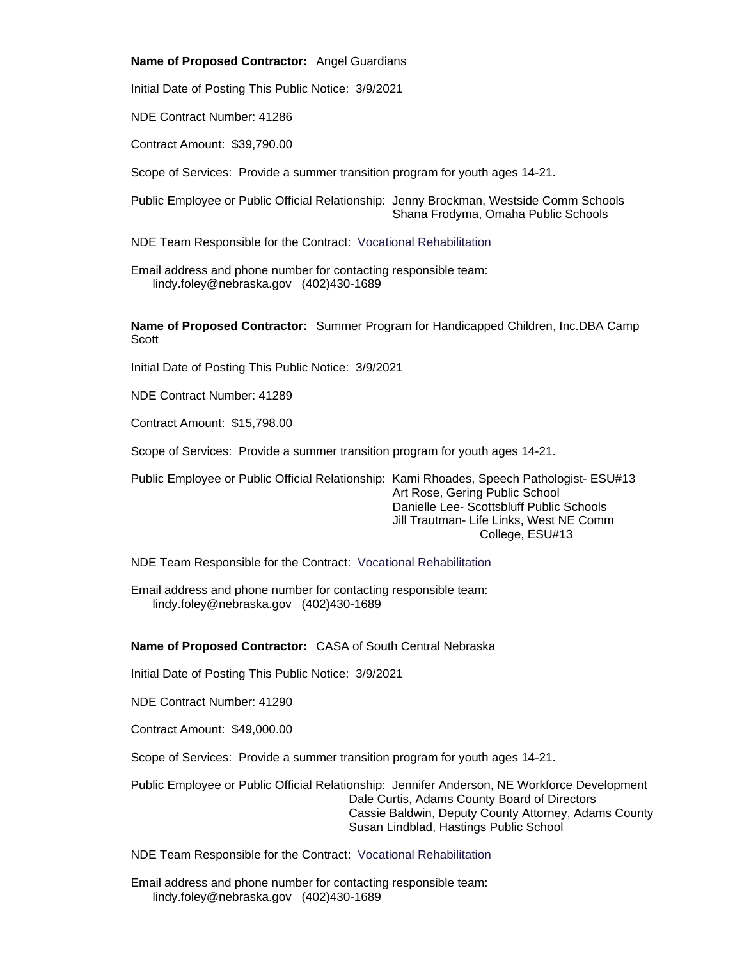#### **Name of Proposed Contractor:** Angel Guardians

Initial Date of Posting This Public Notice: 3/9/2021

NDE Contract Number: 41286

Contract Amount: \$39,790.00

Scope of Services: Provide a summer transition program for youth ages 14-21.

Public Employee or Public Official Relationship: Jenny Brockman, Westside Comm Schools Shana Frodyma, Omaha Public Schools

NDE Team Responsible for the Contract: Vocational Rehabilitation

Email address and phone number for contacting responsible team: lindy.foley@nebraska.gov (402)430-1689

**Name of Proposed Contractor:** Summer Program for Handicapped Children, Inc.DBA Camp **Scott** 

Initial Date of Posting This Public Notice: 3/9/2021

NDE Contract Number: 41289

Contract Amount: \$15,798.00

Scope of Services: Provide a summer transition program for youth ages 14-21.

Public Employee or Public Official Relationship: Kami Rhoades, Speech Pathologist- ESU#13 Art Rose, Gering Public School Danielle Lee- Scottsbluff Public Schools Jill Trautman- Life Links, West NE Comm College, ESU#13

NDE Team Responsible for the Contract: Vocational Rehabilitation

Email address and phone number for contacting responsible team: lindy.foley@nebraska.gov (402)430-1689

### **Name of Proposed Contractor:** CASA of South Central Nebraska

Initial Date of Posting This Public Notice: 3/9/2021

NDE Contract Number: 41290

Contract Amount: \$49,000.00

Scope of Services: Provide a summer transition program for youth ages 14-21.

Public Employee or Public Official Relationship: Jennifer Anderson, NE Workforce Development Dale Curtis, Adams County Board of Directors Cassie Baldwin, Deputy County Attorney, Adams County Susan Lindblad, Hastings Public School

NDE Team Responsible for the Contract: Vocational Rehabilitation

Email address and phone number for contacting responsible team: lindy.foley@nebraska.gov (402)430-1689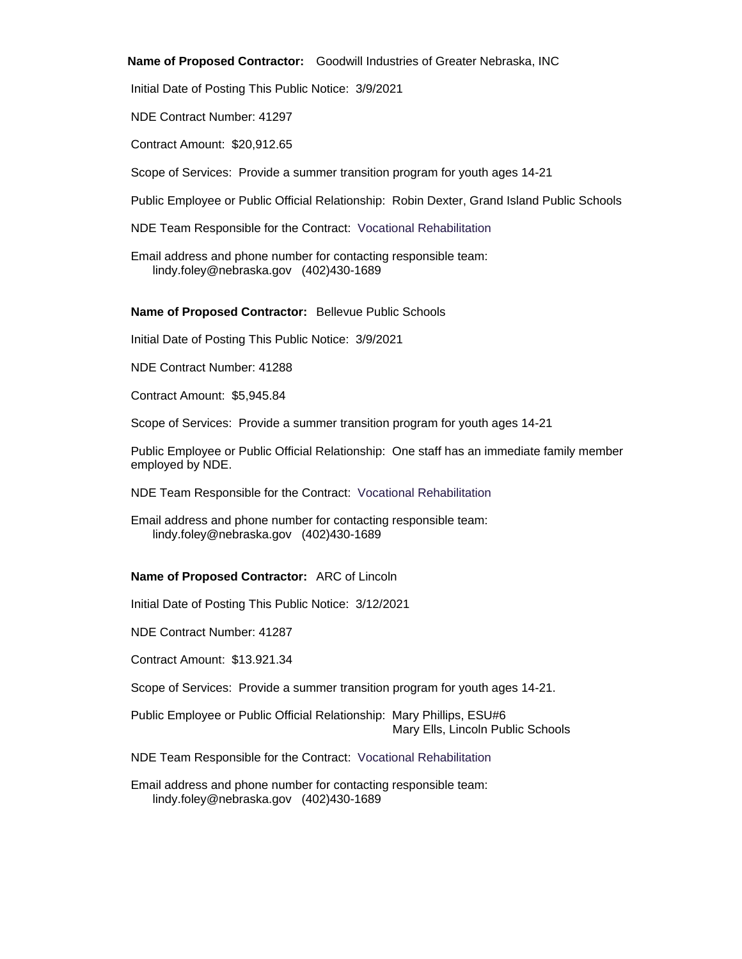#### **Name of Proposed Contractor:** Goodwill Industries of Greater Nebraska, INC

Initial Date of Posting This Public Notice: 3/9/2021

NDE Contract Number: 41297

Contract Amount: \$20,912.65

Scope of Services: Provide a summer transition program for youth ages 14-21

Public Employee or Public Official Relationship: Robin Dexter, Grand Island Public Schools

NDE Team Responsible for the Contract: Vocational Rehabilitation

Email address and phone number for contacting responsible team: lindy.foley@nebraska.gov (402)430-1689

#### **Name of Proposed Contractor:** Bellevue Public Schools

Initial Date of Posting This Public Notice: 3/9/2021

NDE Contract Number: 41288

Contract Amount: \$5,945.84

Scope of Services: Provide a summer transition program for youth ages 14-21

Public Employee or Public Official Relationship: One staff has an immediate family member employed by NDE.

NDE Team Responsible for the Contract: Vocational Rehabilitation

Email address and phone number for contacting responsible team: lindy.foley@nebraska.gov (402)430-1689

# **Name of Proposed Contractor:** ARC of Lincoln

Initial Date of Posting This Public Notice: 3/12/2021

NDE Contract Number: 41287

Contract Amount: \$13.921.34

Scope of Services: Provide a summer transition program for youth ages 14-21.

Public Employee or Public Official Relationship: Mary Phillips, ESU#6 Mary Ells, Lincoln Public Schools

NDE Team Responsible for the Contract: Vocational Rehabilitation

Email address and phone number for contacting responsible team: lindy.foley@nebraska.gov (402)430-1689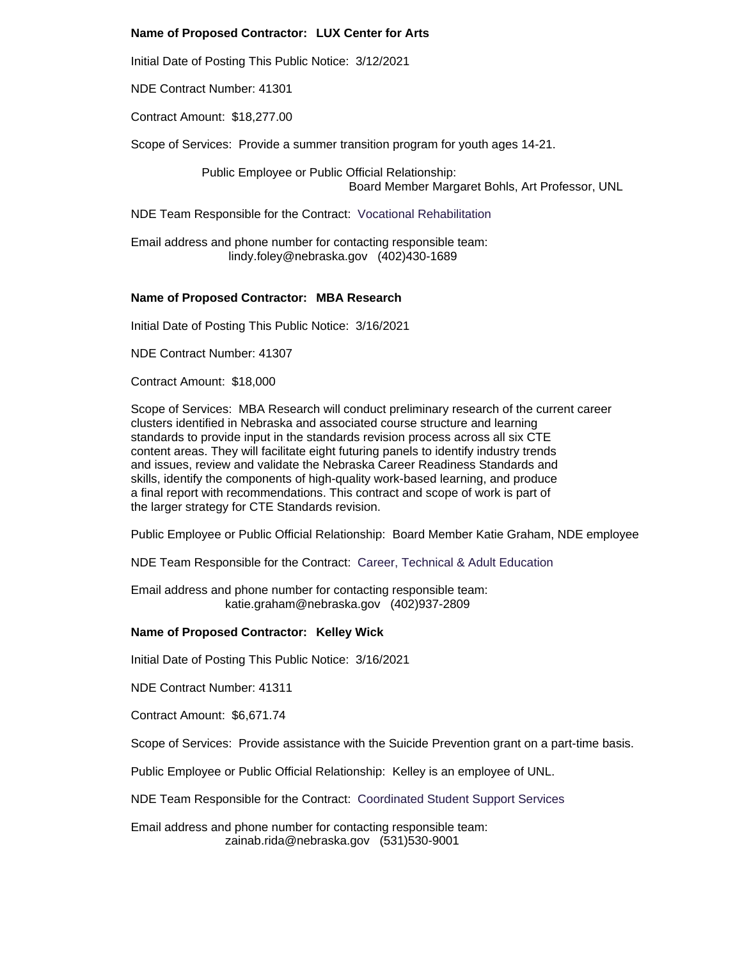# **Name of Proposed Contractor: LUX Center for Arts**

Initial Date of Posting This Public Notice: 3/12/2021

NDE Contract Number: 41301

Contract Amount: \$18,277.00

Scope of Services: Provide a summer transition program for youth ages 14-21.

Public Employee or Public Official Relationship: Board Member Margaret Bohls, Art Professor, UNL

NDE Team Responsible for the Contract: Vocational Rehabilitation

Email address and phone number for contacting responsible team: lindy.foley@nebraska.gov (402)430-1689

## **Name of Proposed Contractor: MBA Research**

Initial Date of Posting This Public Notice: 3/16/2021

NDE Contract Number: 41307

Contract Amount: \$18,000

Scope of Services: MBA Research will conduct preliminary research of the current career clusters identified in Nebraska and associated course structure and learning standards to provide input in the standards revision process across all six CTE content areas. They will facilitate eight futuring panels to identify industry trends and issues, review and validate the Nebraska Career Readiness Standards and skills, identify the components of high-quality work-based learning, and produce a final report with recommendations. This contract and scope of work is part of the larger strategy for CTE Standards revision.

Public Employee or Public Official Relationship: Board Member Katie Graham, NDE employee

NDE Team Responsible for the Contract: Career, Technical & Adult Education

Email address and phone number for contacting responsible team: katie.graham@nebraska.gov (402)937-2809

# **Name of Proposed Contractor: Kelley Wick**

Initial Date of Posting This Public Notice: 3/16/2021

NDE Contract Number: 41311

Contract Amount: \$6,671.74

Scope of Services: Provide assistance with the Suicide Prevention grant on a part-time basis.

Public Employee or Public Official Relationship: Kelley is an employee of UNL.

NDE Team Responsible for the Contract: Coordinated Student Support Services

Email address and phone number for contacting responsible team: zainab.rida@nebraska.gov (531)530-9001